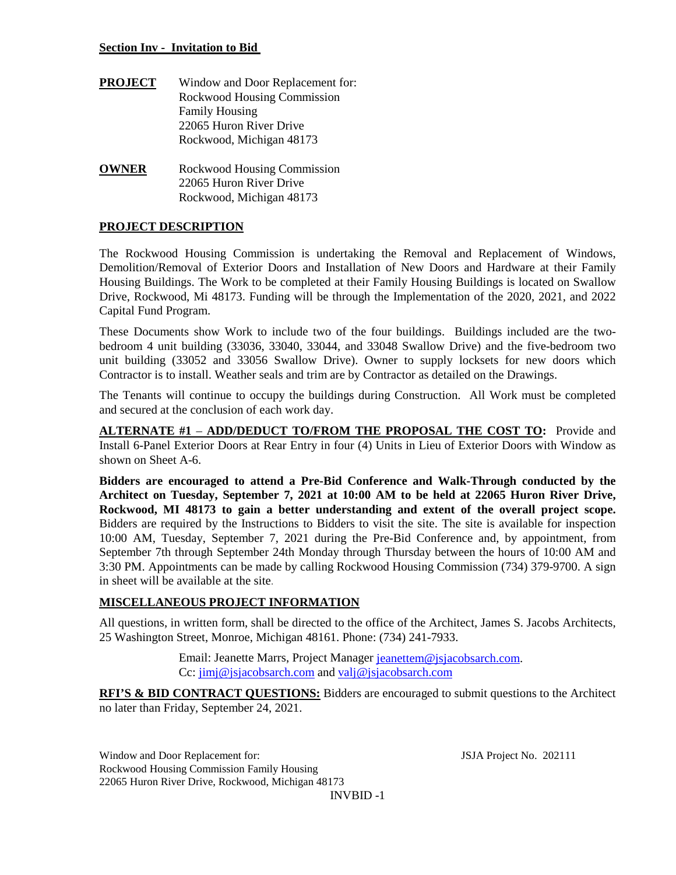#### **Section Inv - Invitation to Bid**

- **PROJECT** Window and Door Replacement for: Rockwood Housing Commission Family Housing 22065 Huron River Drive Rockwood, Michigan 48173
- **OWNER** Rockwood Housing Commission 22065 Huron River Drive Rockwood, Michigan 48173

### **PROJECT DESCRIPTION**

The Rockwood Housing Commission is undertaking the Removal and Replacement of Windows, Demolition/Removal of Exterior Doors and Installation of New Doors and Hardware at their Family Housing Buildings. The Work to be completed at their Family Housing Buildings is located on Swallow Drive, Rockwood, Mi 48173. Funding will be through the Implementation of the 2020, 2021, and 2022 Capital Fund Program.

These Documents show Work to include two of the four buildings. Buildings included are the twobedroom 4 unit building (33036, 33040, 33044, and 33048 Swallow Drive) and the five-bedroom two unit building (33052 and 33056 Swallow Drive). Owner to supply locksets for new doors which Contractor is to install. Weather seals and trim are by Contractor as detailed on the Drawings.

The Tenants will continue to occupy the buildings during Construction. All Work must be completed and secured at the conclusion of each work day.

**ALTERNATE #1** – **ADD/DEDUCT TO/FROM THE PROPOSAL THE COST TO:** Provide and Install 6-Panel Exterior Doors at Rear Entry in four (4) Units in Lieu of Exterior Doors with Window as shown on Sheet A-6.

**Bidders are encouraged to attend a Pre-Bid Conference and Walk-Through conducted by the Architect on Tuesday, September 7, 2021 at 10:00 AM to be held at 22065 Huron River Drive, Rockwood, MI 48173 to gain a better understanding and extent of the overall project scope.** Bidders are required by the Instructions to Bidders to visit the site. The site is available for inspection 10:00 AM, Tuesday, September 7, 2021 during the Pre-Bid Conference and, by appointment, from September 7th through September 24th Monday through Thursday between the hours of 10:00 AM and 3:30 PM. Appointments can be made by calling Rockwood Housing Commission (734) 379-9700. A sign in sheet will be available at the site.

# **MISCELLANEOUS PROJECT INFORMATION**

All questions, in written form, shall be directed to the office of the Architect, James S. Jacobs Architects, 25 Washington Street, Monroe, Michigan 48161. Phone: (734) 241-7933.

> Email: Jeanette Marrs, Project Manager [jeanettem@jsjacobsarch.com.](mailto:jeanettem@jsjacobsarch.com) Cc: [jimj@jsjacobsarch.com](mailto:jimj@jsjacobsarch.com) and [valj@jsjacobsarch.com](mailto:valj@jsjacobsarch.com)

**RFI'S & BID CONTRACT QUESTIONS:** Bidders are encouraged to submit questions to the Architect no later than Friday, September 24, 2021.

Window and Door Replacement for:  $JSIA$  Project No. 202111 Rockwood Housing Commission Family Housing 22065 Huron River Drive, Rockwood, Michigan 48173

INVBID -1